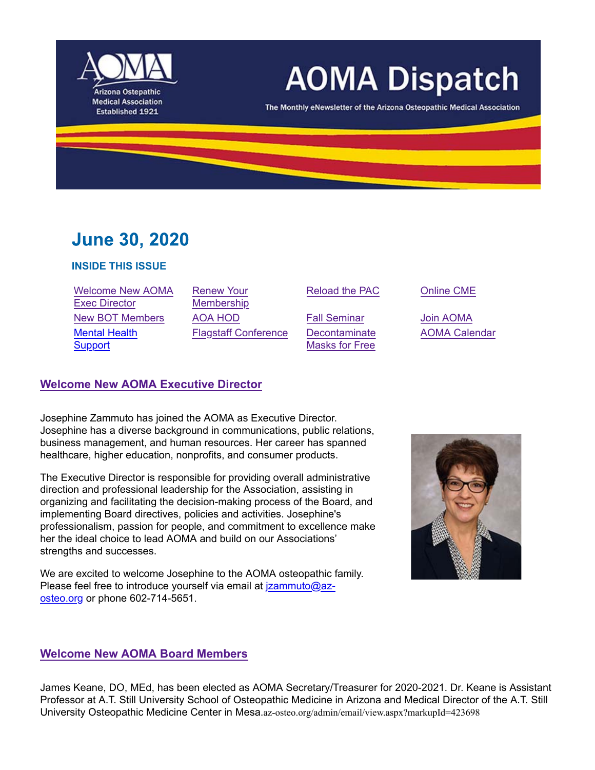

# **AOMA Dispatch**

The Monthly eNewsletter of the Arizona Osteopathic Medical Association

## **June 30, 2020**

#### **INSIDE THIS ISSUE**

| <b>Welcome New AOMA</b> |
|-------------------------|
| <b>Exec Director</b>    |
| <b>New BOT Members</b>  |
| <b>Mental Health</b>    |
| <b>Support</b>          |

Renew Your Membership AOA HOD Fall Seminar Join AOMA Flagstaff Conference Decontaminate

Reload the PAC Online CME

Masks for Free

AOMA Calendar

#### **Welcome New AOMA Executive Director**

Josephine Zammuto has joined the AOMA as Executive Director. Josephine has a diverse background in communications, public relations, business management, and human resources. Her career has spanned healthcare, higher education, nonprofits, and consumer products.

The Executive Director is responsible for providing overall administrative direction and professional leadership for the Association, assisting in organizing and facilitating the decision-making process of the Board, and implementing Board directives, policies and activities. Josephine's professionalism, passion for people, and commitment to excellence make her the ideal choice to lead AOMA and build on our Associations' strengths and successes.

We are excited to welcome Josephine to the AOMA osteopathic family. Please feel free to introduce yourself via email at *jzammuto@az*osteo.org or phone 602-714-5651.



#### **Welcome New AOMA Board Members**

James Keane, DO, MEd, has been elected as AOMA Secretary/Treasurer for 2020-2021. Dr. Keane is Assistant Professor at A.T. Still University School of Osteopathic Medicine in Arizona and Medical Director of the A.T. Still University Osteopathic Medicine Center in Mesa.az-osteo.org/admin/email/view.aspx?markupId=423698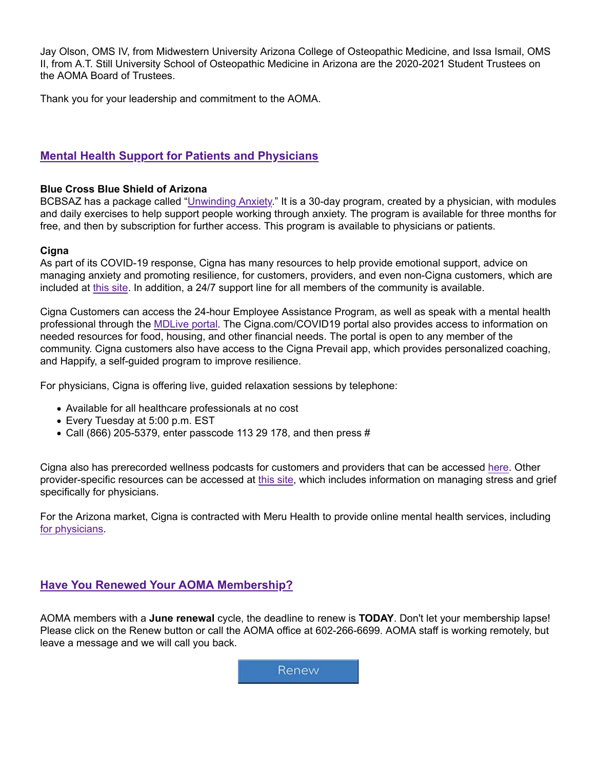Jay Olson, OMS IV, from Midwestern University Arizona College of Osteopathic Medicine, and Issa Ismail, OMS II, from A.T. Still University School of Osteopathic Medicine in Arizona are the 2020-2021 Student Trustees on the AOMA Board of Trustees.

Thank you for your leadership and commitment to the AOMA.

#### **Mental Health Support for Patients and Physicians**

#### **Blue Cross Blue Shield of Arizona**

BCBSAZ has a package called "Unwinding Anxiety." It is a 30-day program, created by a physician, with modules and daily exercises to help support people working through anxiety. The program is available for three months for free, and then by subscription for further access. This program is available to physicians or patients.

#### **Cigna**

As part of its COVID-19 response, Cigna has many resources to help provide emotional support, advice on managing anxiety and promoting resilience, for customers, providers, and even non-Cigna customers, which are included at this site. In addition, a 24/7 support line for all members of the community is available.

Cigna Customers can access the 24-hour Employee Assistance Program, as well as speak with a mental health professional through the MDLive portal. The Cigna.com/COVID19 portal also provides access to information on needed resources for food, housing, and other financial needs. The portal is open to any member of the community. Cigna customers also have access to the Cigna Prevail app, which provides personalized coaching, and Happify, a self-guided program to improve resilience.

For physicians, Cigna is offering live, guided relaxation sessions by telephone:

- Available for all healthcare professionals at no cost
- Every Tuesday at 5:00 p.m. EST
- $\bullet$  Call (866) 205-5379, enter passcode 113 29 178, and then press #

Cigna also has prerecorded wellness podcasts for customers and providers that can be accessed here. Other provider-specific resources can be accessed at this site, which includes information on managing stress and grief specifically for physicians.

For the Arizona market, Cigna is contracted with Meru Health to provide online mental health services, including for physicians.

#### **Have You Renewed Your AOMA Membership?**

AOMA members with a **June renewal** cycle, the deadline to renew is **TODAY**. Don't let your membership lapse! Please click on the Renew button or call the AOMA office at 602-266-6699. AOMA staff is working remotely, but leave a message and we will call you back.

Renew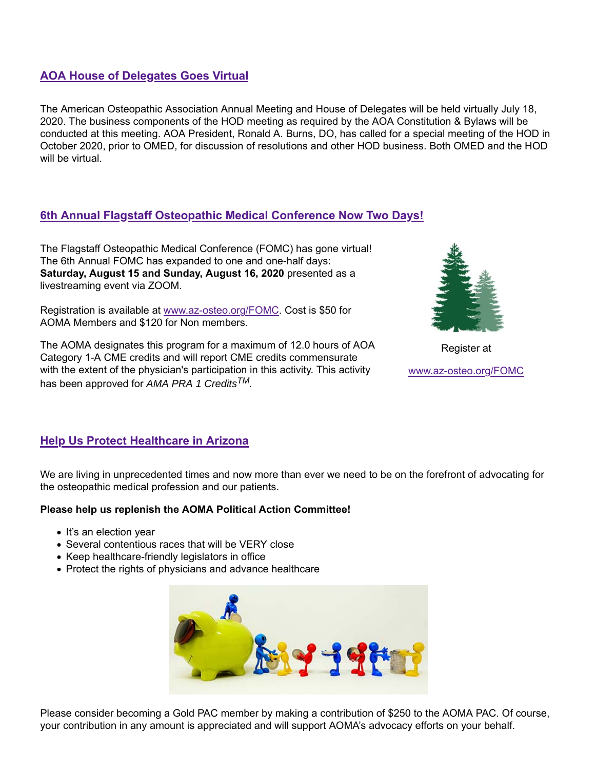#### **AOA House of Delegates Goes Virtual**

The American Osteopathic Association Annual Meeting and House of Delegates will be held virtually July 18, 2020. The business components of the HOD meeting as required by the AOA Constitution & Bylaws will be conducted at this meeting. AOA President, Ronald A. Burns, DO, has called for a special meeting of the HOD in October 2020, prior to OMED, for discussion of resolutions and other HOD business. Both OMED and the HOD will be virtual.

#### **6th Annual Flagstaff Osteopathic Medical Conference Now Two Days!**

The Flagstaff Osteopathic Medical Conference (FOMC) has gone virtual! The 6th Annual FOMC has expanded to one and one-half days: **Saturday, August 15 and Sunday, August 16, 2020** presented as a livestreaming event via ZOOM.

Registration is available at www.az-osteo.org/FOMC. Cost is \$50 for AOMA Members and \$120 for Non members.

The AOMA designates this program for a maximum of 12.0 hours of AOA Category 1-A CME credits and will report CME credits commensurate with the extent of the physician's participation in this activity. This activity has been approved for *AMA PRA 1 CreditsTM.*



Register at

www.az-osteo.org/FOMC

#### **Help Us Protect Healthcare in Arizona**

We are living in unprecedented times and now more than ever we need to be on the forefront of advocating for the osteopathic medical profession and our patients.

#### **Please help us replenish the AOMA Political Action Committee!**

- It's an election year
- Several contentious races that will be VERY close
- Keep healthcare-friendly legislators in office
- Protect the rights of physicians and advance healthcare



Please consider becoming a Gold PAC member by making a contribution of \$250 to the AOMA PAC. Of course, your contribution in any amount is appreciated and will support AOMA's advocacy efforts on your behalf.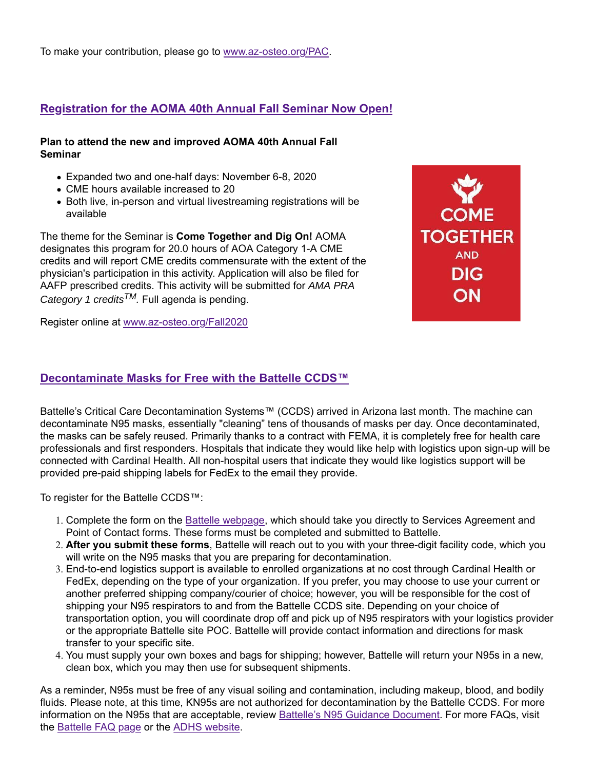To make your contribution, please go to www.az-osteo.org/PAC.

### **Registration for the AOMA 40th Annual Fall Seminar Now Open!**

#### **Plan to attend the new and improved AOMA 40th Annual Fall Seminar**

- Expanded two and one-half days: November 6-8, 2020
- CME hours available increased to 20
- Both live, in-person and virtual livestreaming registrations will be available

The theme for the Seminar is **Come Together and Dig On!** AOMA designates this program for 20.0 hours of AOA Category 1-A CME credits and will report CME credits commensurate with the extent of the physician's participation in this activity. Application will also be filed for AAFP prescribed credits. This activity will be submitted for *AMA PRA Category 1 creditsTM.* Full agenda is pending.

Register online at www.az-osteo.org/Fall2020

#### **Decontaminate Masks for Free with the Battelle CCDS™**

Battelle's Critical Care Decontamination Systems™ (CCDS) arrived in Arizona last month. The machine can decontaminate N95 masks, essentially "cleaning" tens of thousands of masks per day. Once decontaminated, the masks can be safely reused. Primarily thanks to a contract with FEMA, it is completely free for health care professionals and first responders. Hospitals that indicate they would like help with logistics upon sign-up will be connected with Cardinal Health. All non-hospital users that indicate they would like logistics support will be provided pre-paid shipping labels for FedEx to the email they provide.

To register for the Battelle CCDS™:

- 1. Complete the form on the Battelle webpage, which should take you directly to Services Agreement and Point of Contact forms. These forms must be completed and submitted to Battelle.
- 2. **After you submit these forms**, Battelle will reach out to you with your three-digit facility code, which you will write on the N95 masks that you are preparing for decontamination.
- 3. End-to-end logistics support is available to enrolled organizations at no cost through Cardinal Health or FedEx, depending on the type of your organization. If you prefer, you may choose to use your current or another preferred shipping company/courier of choice; however, you will be responsible for the cost of shipping your N95 respirators to and from the Battelle CCDS site. Depending on your choice of transportation option, you will coordinate drop off and pick up of N95 respirators with your logistics provider or the appropriate Battelle site POC. Battelle will provide contact information and directions for mask transfer to your specific site.
- 4. You must supply your own boxes and bags for shipping; however, Battelle will return your N95s in a new, clean box, which you may then use for subsequent shipments.

As a reminder, N95s must be free of any visual soiling and contamination, including makeup, blood, and bodily fluids. Please note, at this time, KN95s are not authorized for decontamination by the Battelle CCDS. For more information on the N95s that are acceptable, review Battelle's N95 Guidance Document. For more FAQs, visit the Battelle FAQ page or the ADHS website.

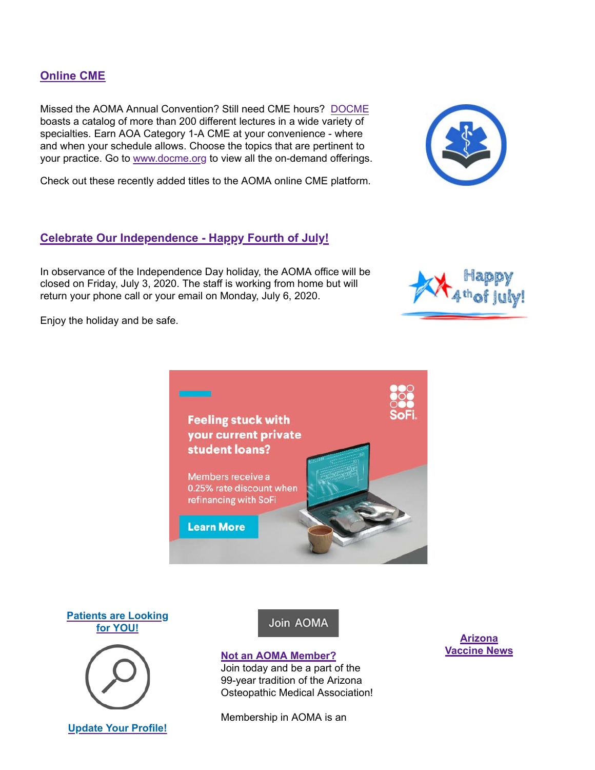#### **Update Your Profile!**

#### **Online CME**

Missed the AOMA Annual Convention? Still need CME hours? DOCME boasts a catalog of more than 200 different lectures in a wide variety of specialties. Earn AOA Category 1-A CME at your convenience - where and when your schedule allows. Choose the topics that are pertinent to your practice. Go to www.docme.org to view all the on-demand offerings.

Check out these recently added titles to the AOMA online CME platform.

#### **Celebrate Our Independence - Happy Fourth of July!**

In observance of the Independence Day holiday, the AOMA office will be closed on Friday, July 3, 2020. The staff is working from home but will return your phone call or your email on Monday, July 6, 2020.

> **Feeling stuck with** your current private

student loans?

Members receive a 0.25% rate discount when refinancing with SoFi

**Learn More** 

Enjoy the holiday and be safe.

**Patients are Looking for YOU!**



#### **Not an AOMA Member?**

Join today and be a part of the 99-year tradition of the Arizona Osteopathic Medical Association!

Membership in AOMA is an

**Arizona Vaccine News**